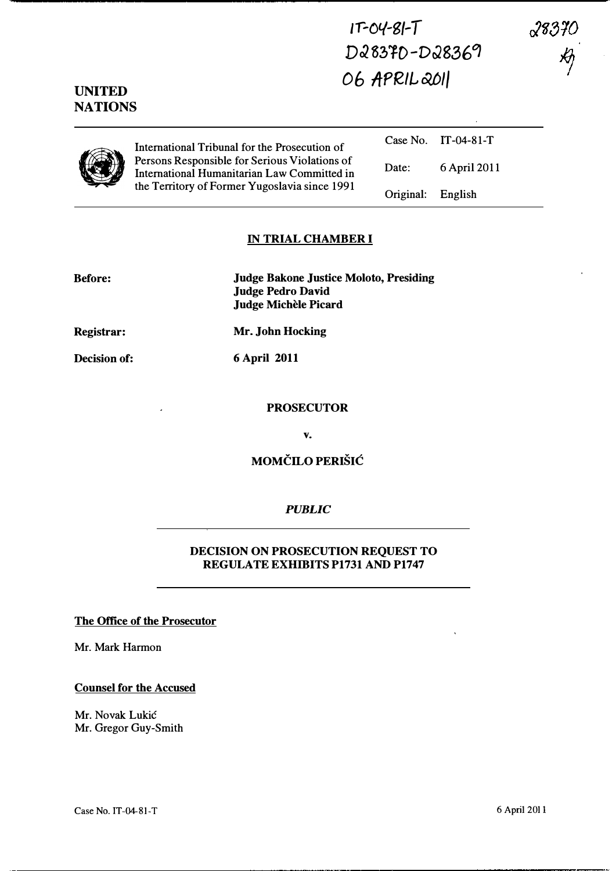$17 - 04 - 8 - 7$ D28370-D28369 06 APRIL 2011

UNITED **NATIONS** 

> Case No. IT-04-81-T International Tribunal for the Prosecution of Persons Responsible for Serious Violations of International Humanitarian Law Committed in the Territory of Former Yugoslavia since 1991 Date: 6 April 2011 Original: English

## IN TRIAL CHAMBER I

Judge Bakone Justice Moloto, Presiding Judge Pedro David Judge Michèle Picard

Registrar:

Mr. John Hocking 6 April 2011

Decision of:

PROSECUTOR

v.

MOMCILO PERISIC

## PUBLIC

## DECISION ON PROSECUTION REQUEST TO REGULATE EXHIBITS P1731 AND P1747

## The Office of the Prosecutor

Mr. Mark Harmon

Counsel for the Accused

Mr. Novak Lukic Mr. Gregor Guy-Smith